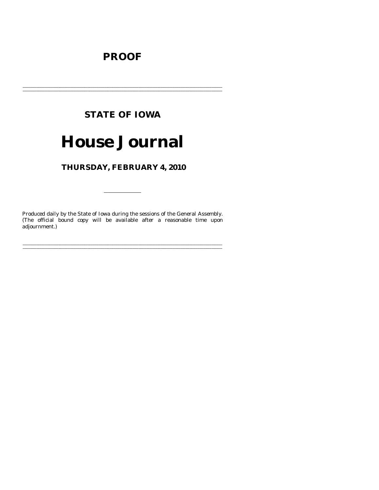# **PROOF**

# **STATE OF IOWA**

# **House Journal**

# THURSDAY, FEBRUARY 4, 2010

Produced daily by the State of Iowa during the sessions of the General Assembly. (The official bound copy will be available after a reasonable time upon adjournment.)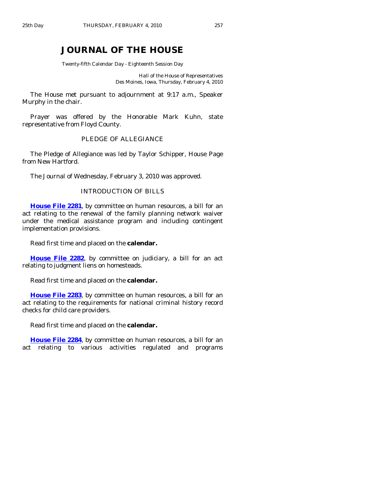# **JOURNAL OF THE HOUSE**

Twenty-fifth Calendar Day - Eighteenth Session Day

Hall of the House of Representatives Des Moines, Iowa, Thursday, February 4, 2010

 The House met pursuant to adjournment at 9:17 a.m., Speaker Murphy in the chair.

 Prayer was offered by the Honorable Mark Kuhn, state representative from Floyd County.

# PLEDGE OF ALLEGIANCE

 The Pledge of Allegiance was led by Taylor Schipper, House Page from New Hartford.

The Journal of Wednesday, February 3, 2010 was approved.

### INTRODUCTION OF BILLS

**[House File 2281](http://coolice.legis.state.ia.us/Cool-ICE/default.asp?Category=billinfo&Service=Billbook&frame=1&GA=83&hbill=HF2281)**, by committee on human resources, a bill for an act relating to the renewal of the family planning network waiver under the medical assistance program and including contingent implementation provisions.

Read first time and placed on the **calendar.** 

**[House File 2282](http://coolice.legis.state.ia.us/Cool-ICE/default.asp?Category=billinfo&Service=Billbook&frame=1&GA=83&hbill=HF2282)**, by committee on judiciary, a bill for an act relating to judgment liens on homesteads.

Read first time and placed on the **calendar.** 

**[House File 2283](http://coolice.legis.state.ia.us/Cool-ICE/default.asp?Category=billinfo&Service=Billbook&frame=1&GA=83&hbill=HF2283)**, by committee on human resources, a bill for an act relating to the requirements for national criminal history record checks for child care providers.

Read first time and placed on the **calendar.** 

**[House File 2284](http://coolice.legis.state.ia.us/Cool-ICE/default.asp?Category=billinfo&Service=Billbook&frame=1&GA=83&hbill=HF2284)**, by committee on human resources, a bill for an act relating to various activities regulated and programs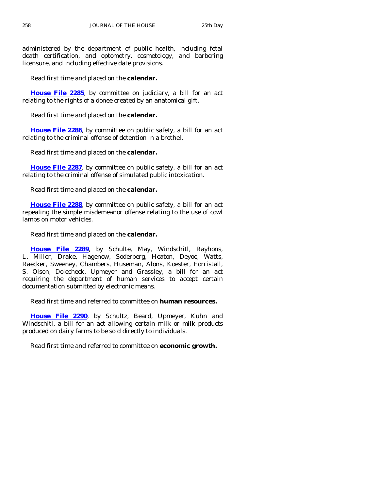administered by the department of public health, including fetal death certification, and optometry, cosmetology, and barbering licensure, and including effective date provisions.

Read first time and placed on the **calendar.** 

**[House File 2285](http://coolice.legis.state.ia.us/Cool-ICE/default.asp?Category=billinfo&Service=Billbook&frame=1&GA=83&hbill=HF2285)**, by committee on judiciary, a bill for an act relating to the rights of a donee created by an anatomical gift.

Read first time and placed on the **calendar.** 

**[House File 2286](http://coolice.legis.state.ia.us/Cool-ICE/default.asp?Category=billinfo&Service=Billbook&frame=1&GA=83&hbill=HF2286)**, by committee on public safety, a bill for an act relating to the criminal offense of detention in a brothel.

Read first time and placed on the **calendar.** 

**[House File 2287](http://coolice.legis.state.ia.us/Cool-ICE/default.asp?Category=billinfo&Service=Billbook&frame=1&GA=83&hbill=HF2287)**, by committee on public safety, a bill for an act relating to the criminal offense of simulated public intoxication.

Read first time and placed on the **calendar.** 

**[House File 2288](http://coolice.legis.state.ia.us/Cool-ICE/default.asp?Category=billinfo&Service=Billbook&frame=1&GA=83&hbill=HF2288)**, by committee on public safety, a bill for an act repealing the simple misdemeanor offense relating to the use of cowl lamps on motor vehicles.

Read first time and placed on the **calendar.** 

**[House File 2289](http://coolice.legis.state.ia.us/Cool-ICE/default.asp?Category=billinfo&Service=Billbook&frame=1&GA=83&hbill=HF2289)**, by Schulte, May, Windschitl, Rayhons, L. Miller, Drake, Hagenow, Soderberg, Heaton, Deyoe, Watts, Raecker, Sweeney, Chambers, Huseman, Alons, Koester, Forristall, S. Olson, Dolecheck, Upmeyer and Grassley, a bill for an act requiring the department of human services to accept certain documentation submitted by electronic means.

Read first time and referred to committee on **human resources.** 

**[House File 2290](http://coolice.legis.state.ia.us/Cool-ICE/default.asp?Category=billinfo&Service=Billbook&frame=1&GA=83&hbill=HF2290)**, by Schultz, Beard, Upmeyer, Kuhn and Windschitl, a bill for an act allowing certain milk or milk products produced on dairy farms to be sold directly to individuals.

Read first time and referred to committee on **economic growth.**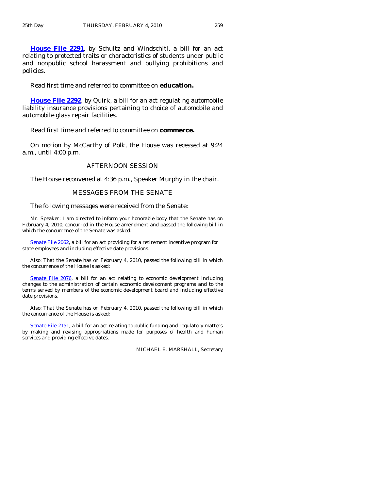**[House File 2291](http://coolice.legis.state.ia.us/Cool-ICE/default.asp?Category=billinfo&Service=Billbook&frame=1&GA=83&hbill=HF2291)**, by Schultz and Windschitl, a bill for an act relating to protected traits or characteristics of students under public and nonpublic school harassment and bullying prohibitions and policies.

Read first time and referred to committee on **education.** 

**[House File 2292](http://coolice.legis.state.ia.us/Cool-ICE/default.asp?Category=billinfo&Service=Billbook&frame=1&GA=83&hbill=HF2292)**, by Quirk, a bill for an act regulating automobile liability insurance provisions pertaining to choice of automobile and automobile glass repair facilities.

Read first time and referred to committee on **commerce.** 

 On motion by McCarthy of Polk, the House was recessed at 9:24 a.m., until 4:00 p.m.

#### AFTERNOON SESSION

The House reconvened at 4:36 p.m., Speaker Murphy in the chair.

#### MESSAGES FROM THE SENATE

The following messages were received from the Senate:

 Mr. Speaker: I am directed to inform your honorable body that the Senate has on February 4, 2010, concurred in the House amendment and passed the following bill in which the concurrence of the Senate was asked:

[Senate File](http://coolice.legis.state.ia.us/Cool-ICE/default.asp?Category=billinfo&Service=Billbook&frame=1&GA=83&hbill=SF2062) 2062, a bill for an act providing for a retirement incentive program for state employees and including effective date provisions.

 Also: That the Senate has on February 4, 2010, passed the following bill in which the concurrence of the House is asked:

[Senate File 2076](http://coolice.legis.state.ia.us/Cool-ICE/default.asp?Category=billinfo&Service=Billbook&frame=1&GA=83&hbill=SF2076), a bill for an act relating to economic development including changes to the administration of certain economic development programs and to the terms served by members of the economic development board and including effective date provisions.

 Also: That the Senate has on February 4, 2010, passed the following bill in which the concurrence of the House is asked:

[Senate File 2151,](http://coolice.legis.state.ia.us/Cool-ICE/default.asp?Category=billinfo&Service=Billbook&frame=1&GA=83&hbill=SF2151) a bill for an act relating to public funding and regulatory matters by making and revising appropriations made for purposes of health and human services and providing effective dates.

MICHAEL E. MARSHALL, Secretary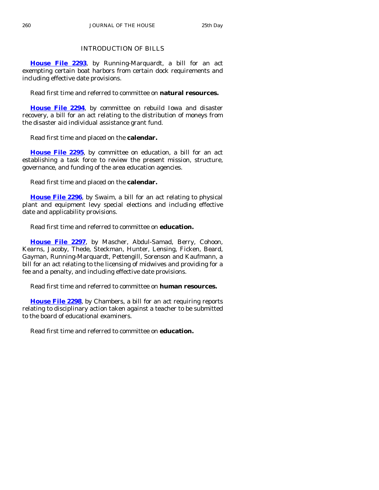# INTRODUCTION OF BILLS

**[House File 2293](http://coolice.legis.state.ia.us/Cool-ICE/default.asp?Category=billinfo&Service=Billbook&frame=1&GA=83&hbill=HF2293)**, by Running-Marquardt, a bill for an act exempting certain boat harbors from certain dock requirements and including effective date provisions.

Read first time and referred to committee on **natural resources.** 

**[House File 2294](http://coolice.legis.state.ia.us/Cool-ICE/default.asp?Category=billinfo&Service=Billbook&frame=1&GA=83&hbill=HF2294)**, by committee on rebuild Iowa and disaster recovery, a bill for an act relating to the distribution of moneys from the disaster aid individual assistance grant fund.

Read first time and placed on the **calendar.** 

**[House File 2295](http://coolice.legis.state.ia.us/Cool-ICE/default.asp?Category=billinfo&Service=Billbook&frame=1&GA=83&hbill=HF2295)**, by committee on education, a bill for an act establishing a task force to review the present mission, structure, governance, and funding of the area education agencies.

Read first time and placed on the **calendar.** 

**[House File 2296](http://coolice.legis.state.ia.us/Cool-ICE/default.asp?Category=billinfo&Service=Billbook&frame=1&GA=83&hbill=HF2296)**, by Swaim, a bill for an act relating to physical plant and equipment levy special elections and including effective date and applicability provisions.

Read first time and referred to committee on **education.** 

**[House File 2297](http://coolice.legis.state.ia.us/Cool-ICE/default.asp?Category=billinfo&Service=Billbook&frame=1&GA=83&hbill=HF2297)**, by Mascher, Abdul-Samad, Berry, Cohoon, Kearns, Jacoby, Thede, Steckman, Hunter, Lensing, Ficken, Beard, Gayman, Running-Marquardt, Pettengill, Sorenson and Kaufmann, a bill for an act relating to the licensing of midwives and providing for a fee and a penalty, and including effective date provisions.

Read first time and referred to committee on **human resources.** 

**[House File 2298](http://coolice.legis.state.ia.us/Cool-ICE/default.asp?Category=billinfo&Service=Billbook&frame=1&GA=83&hbill=HF2298)**, by Chambers, a bill for an act requiring reports relating to disciplinary action taken against a teacher to be submitted to the board of educational examiners.

Read first time and referred to committee on **education.**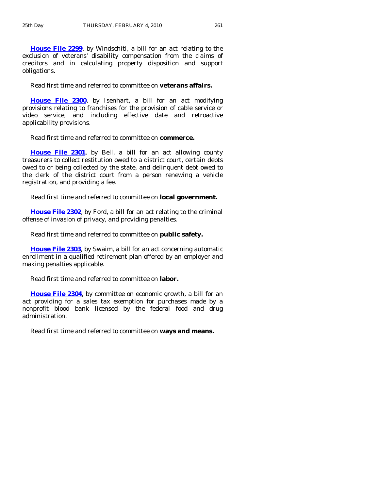**[House File 2299](http://coolice.legis.state.ia.us/Cool-ICE/default.asp?Category=billinfo&Service=Billbook&frame=1&GA=83&hbill=HF2299)**, by Windschitl, a bill for an act relating to the exclusion of veterans' disability compensation from the claims of creditors and in calculating property disposition and support obligations.

Read first time and referred to committee on **veterans affairs.** 

**[House File 2300](http://coolice.legis.state.ia.us/Cool-ICE/default.asp?Category=billinfo&Service=Billbook&frame=1&GA=83&hbill=HF2300)**, by Isenhart, a bill for an act modifying provisions relating to franchises for the provision of cable service or video service, and including effective date and retroactive applicability provisions.

Read first time and referred to committee on **commerce.** 

**[House File 2301](http://coolice.legis.state.ia.us/Cool-ICE/default.asp?Category=billinfo&Service=Billbook&frame=1&GA=83&hbill=HF2301)**, by Bell, a bill for an act allowing county treasurers to collect restitution owed to a district court, certain debts owed to or being collected by the state, and delinquent debt owed to the clerk of the district court from a person renewing a vehicle registration, and providing a fee.

Read first time and referred to committee on **local government.** 

**[House File 2302](http://coolice.legis.state.ia.us/Cool-ICE/default.asp?Category=billinfo&Service=Billbook&frame=1&GA=83&hbill=HF2302)**, by Ford, a bill for an act relating to the criminal offense of invasion of privacy, and providing penalties.

Read first time and referred to committee on **public safety.** 

**[House File 2303](http://coolice.legis.state.ia.us/Cool-ICE/default.asp?Category=billinfo&Service=Billbook&frame=1&GA=83&hbill=HF2303)**, by Swaim, a bill for an act concerning automatic enrollment in a qualified retirement plan offered by an employer and making penalties applicable.

Read first time and referred to committee on **labor.** 

**[House File 2304](http://coolice.legis.state.ia.us/Cool-ICE/default.asp?Category=billinfo&Service=Billbook&frame=1&GA=83&hbill=HF2304)**, by committee on economic growth, a bill for an act providing for a sales tax exemption for purchases made by a nonprofit blood bank licensed by the federal food and drug administration.

Read first time and referred to committee on **ways and means.**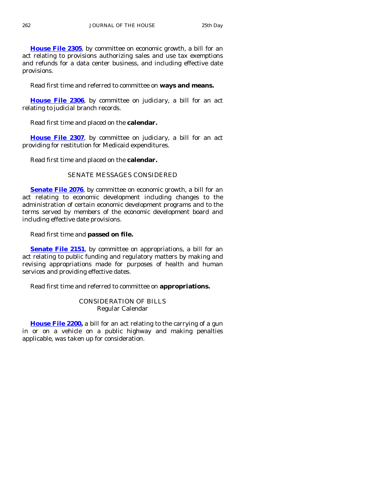**[House File 2305](http://coolice.legis.state.ia.us/Cool-ICE/default.asp?Category=billinfo&Service=Billbook&frame=1&GA=83&hbill=HF2305)**, by committee on economic growth, a bill for an act relating to provisions authorizing sales and use tax exemptions and refunds for a data center business, and including effective date provisions.

Read first time and referred to committee on **ways and means.** 

**[House File 2306](http://coolice.legis.state.ia.us/Cool-ICE/default.asp?Category=billinfo&Service=Billbook&frame=1&GA=83&hbill=HF2306)**, by committee on judiciary, a bill for an act relating to judicial branch records.

Read first time and placed on the **calendar.** 

**[House File 2307](http://coolice.legis.state.ia.us/Cool-ICE/default.asp?Category=billinfo&Service=Billbook&frame=1&GA=83&hbill=HF2307)**, by committee on judiciary, a bill for an act providing for restitution for Medicaid expenditures.

Read first time and placed on the **calendar.** 

# SENATE MESSAGES CONSIDERED

**[Senate File 2076](http://coolice.legis.state.ia.us/Cool-ICE/default.asp?Category=billinfo&Service=Billbook&frame=1&GA=83&hbill=SF2076)**, by committee on economic growth, a bill for an act relating to economic development including changes to the administration of certain economic development programs and to the terms served by members of the economic development board and including effective date provisions.

Read first time and **passed on file.** 

**[Senate File 2151](http://coolice.legis.state.ia.us/Cool-ICE/default.asp?Category=billinfo&Service=Billbook&frame=1&GA=83&hbill=SF2151)**, by committee on appropriations, a bill for an act relating to public funding and regulatory matters by making and revising appropriations made for purposes of health and human services and providing effective dates.

Read first time and referred to committee on **appropriations.** 

CONSIDERATION OF BILLS Regular Calendar

[House File 2200,](http://coolice.legis.state.ia.us/Cool-ICE/default.asp?Category=billinfo&Service=Billbook&frame=1&GA=83&hbill=HF2200) a bill for an act relating to the carrying of a gun in or on a vehicle on a public highway and making penalties applicable, was taken up for consideration.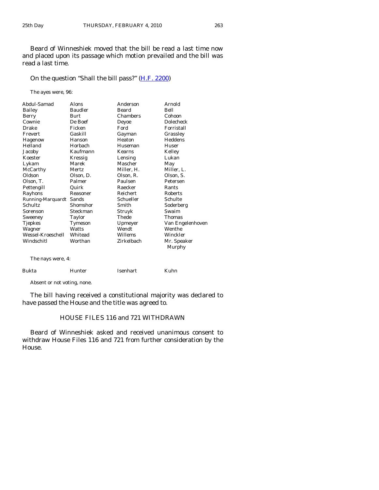Beard of Winneshiek moved that the bill be read a last time now and placed upon its passage which motion prevailed and the bill was read a last time.

# On the question "Shall the bill pass?" [\(H.F. 2200\)](http://coolice.legis.state.ia.us/Cool-ICE/default.asp?Category=billinfo&Service=Billbook&frame=1&GA=83&hbill=HF2200)

The ayes were, 96:

| Abdul-Samad             | Alons             | Anderson      | Arnold                |
|-------------------------|-------------------|---------------|-----------------------|
| Bailey                  | <b>Baudler</b>    | Beard<br>Bell |                       |
| Berry                   | Chambers<br>Burt  |               | Cohoon                |
| Cownie                  | De Boef<br>Deyoe  |               | <b>Dolecheck</b>      |
| Drake                   | Ficken            | Ford          | Forristall            |
| Frevert                 | Gaskill<br>Gayman |               | Grassley              |
| <b>Hagenow</b>          | Hanson            | Heaton        | Heddens               |
| Helland                 | Horbach           | Huseman       | Huser                 |
| Jacoby                  | Kaufmann          | Kearns        | Kelley                |
| Koester                 | Kressig           | Lensing       | Lukan                 |
| Lykam                   | Marek             | Mascher       | May                   |
| McCarthy                | Mertz             | Miller, H.    | Miller, L.            |
| Oldson                  | Olson, D.         | Olson, R.     | Olson, S.             |
| Olson, T.               | Palmer            | Paulsen       | Petersen              |
| Pettengill              | Quirk             | Raecker       | Rants                 |
| Rayhons                 | Reasoner          | Reichert      | <b>Roberts</b>        |
| Running-Marquardt Sands |                   | Schueller     | Schulte               |
| <b>Schultz</b>          | Shomshor          | Smith         | Soderberg             |
| Sorenson                | Steckman          | Struyk        | Swaim                 |
| Sweeney                 | Taylor            | Thede         | <b>Thomas</b>         |
| <b>Tjepkes</b>          | Tymeson           | Upmeyer       | Van Engelenhoven      |
| Wagner                  | Watts             | Wendt         | Wenthe                |
| Wessel-Kroeschell       | Whitead           | Willems       | Winckler              |
| Windschitl              | Worthan           | Zirkelbach    | Mr. Speaker<br>Murphy |
| The nays were, 4:       |                   |               |                       |
| Bukta                   | Hunter            | Isenhart      | Kuhn                  |

Absent or not voting, none.

 The bill having received a constitutional majority was declared to have passed the House and the title was agreed to.

# HOUSE FILES 116 and 721 WITHDRAWN

 Beard of Winneshiek asked and received unanimous consent to withdraw House Files 116 and 721 from further consideration by the House.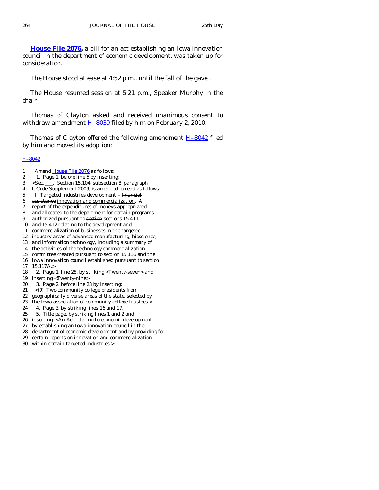**[House File 2076,](http://coolice.legis.state.ia.us/Cool-ICE/default.asp?Category=billinfo&Service=Billbook&frame=1&GA=83&hbill=HF2076)** a bill for an act establishing an Iowa innovation council in the department of economic development, was taken up for consideration.

The House stood at ease at 4:52 p.m., until the fall of the gavel.

 The House resumed session at 5:21 p.m., Speaker Murphy in the chair.

 Thomas of Clayton asked and received unanimous consent to withdraw amendment  $H-8039$  filed by him on February 2, 2010.

Thomas of Clayton offered the following amendment **H-8042** filed by him and moved its adoption:

#### [H–8042](http://coolice.legis.state.ia.us/Cool-ICE/default.asp?Category=billinfo&Service=Billbook&frame=1&GA=83&hbill=H8042)

- 1 Amend [House File 2076](http://coolice.legis.state.ia.us/Cool-ICE/default.asp?Category=billinfo&Service=Billbook&frame=1&GA=83&hbill=HF2076) as follows:
- 2 1. Page 1, before line 5 by inserting:
- 3 <Sec. \_\_\_. Section 15.104, subsection 8, paragraph
- 4 l, Code Supplement 2009, is amended to read as follows:
- 5 l. Targeted industries development financial
- 6 assistance innovation and commercialization. A
- 7 report of the expenditures of moneys appropriated
- 8 and allocated to the department for certain programs
- 9 authorized pursuant to section sections 15.411
- 10 and 15.412 relating to the development and
- 11 commercialization of businesses in the targeted
- 12 industry areas of advanced manufacturing, bioscience,
- 13 and information technology, including a summary of
- 14 the activities of the technology commercialization
- 15 committee created pursuant to section 15.116 and the
- 16 Iowa innovation council established pursuant to section
- 17 15.117A.>
- 18 2. Page 1, line 28, by striking <Twenty-seven> and
- 19 inserting <Twenty-nine>
- 20 3. Page 2, before line 23 by inserting:
- 21 <(9) Two community college presidents from
- 22 geographically diverse areas of the state, selected by
- 23 the Iowa association of community college trustees.>
- 24 4. Page 3, by striking lines 16 and 17.
- 25 5. Title page, by striking lines 1 and 2 and
- 26 inserting: <An Act relating to economic development
- 27 by establishing an Iowa innovation council in the
- 28 department of economic development and by providing for
- 29 certain reports on innovation and commercialization
- 30 within certain targeted industries.>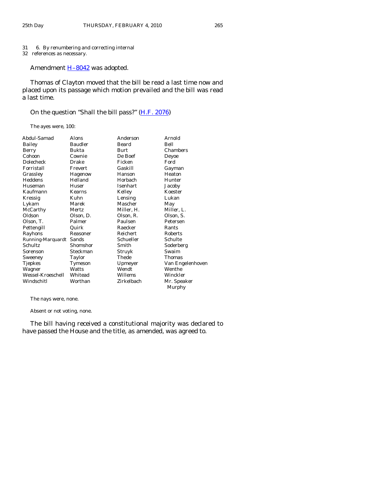#### 31 6. By renumbering and correcting internal

32 references as necessary.

Amendment **H-8042** was adopted.

 Thomas of Clayton moved that the bill be read a last time now and placed upon its passage which motion prevailed and the bill was read a last time.

# On the question "Shall the bill pass?" [\(H.F. 2076\)](http://coolice.legis.state.ia.us/Cool-ICE/default.asp?Category=billinfo&Service=Billbook&frame=1&GA=83&hbill=HF2076)

The ayes were, 100:

| Abdul-Samad             | Alons                           | Anderson   | Arnold           |  |
|-------------------------|---------------------------------|------------|------------------|--|
| Bailey                  | <b>Baudler</b><br>Bell<br>Beard |            |                  |  |
| Berry                   | Bukta                           | Burt       | Chambers         |  |
| Cohoon                  | Cownie                          | De Boef    | Deyoe            |  |
| Dolecheck               | Drake                           | Ficken     | Ford             |  |
| Forristall              | Frevert                         | Gaskill    | Gayman           |  |
| Grassley                | Hagenow                         | Hanson     | Heaton           |  |
| Heddens                 | Helland                         | Horbach    | Hunter           |  |
| Huseman                 | Huser                           | Isenhart   | Jacoby           |  |
| Kaufmann                | Kearns                          | Kelley     | Koester          |  |
| Kressig                 | Kuhn                            | Lensing    | Lukan            |  |
| Lykam                   | Marek                           | Mascher    | May              |  |
| McCarthy                | Mertz                           | Miller, H. | Miller, L.       |  |
| Oldson                  | Olson, D.                       | Olson, R.  | Olson, S.        |  |
| Olson, T.               | Palmer                          | Paulsen    | Petersen         |  |
| Pettengill              | Quirk                           | Raecker    | Rants            |  |
| Rayhons                 | Reasoner                        | Reichert   | Roberts          |  |
| Running-Marquardt Sands |                                 | Schueller  | Schulte          |  |
| <b>Schultz</b>          | Shomshor                        | Smith      | Soderberg        |  |
| Sorenson                | Steckman                        | Struyk     | Swaim            |  |
| Sweeney                 | Taylor                          | Thede      | Thomas           |  |
| <b>Tjepkes</b>          | Tymeson                         | Upmeyer    | Van Engelenhoven |  |
| Wagner                  | Watts                           | Wendt      | Wenthe           |  |
| Wessel-Kroeschell       | Whitead                         | Willems    | Winckler         |  |
| Windschitl              | Worthan                         | Zirkelbach | Mr. Speaker      |  |
|                         |                                 |            | Murphy           |  |
|                         |                                 |            |                  |  |

The nays were, none.

Absent or not voting, none.

 The bill having received a constitutional majority was declared to have passed the House and the title, as amended, was agreed to.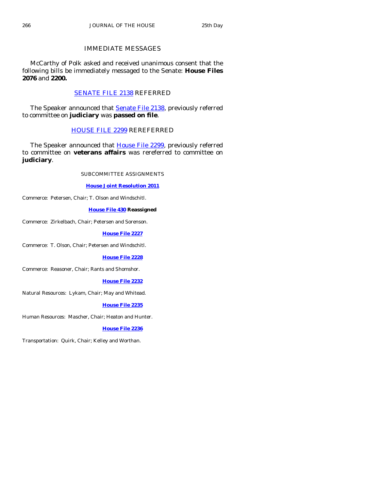# IMMEDIATE MESSAGES

 McCarthy of Polk asked and received unanimous consent that the following bills be immediately messaged to the Senate: **House Files 2076** and **2200.**

# [SENATE FILE 2138](http://coolice.legis.state.ia.us/Cool-ICE/default.asp?Category=billinfo&Service=Billbook&frame=1&GA=83&hbill=SF2138) REFERRED

The Speaker announced that **Senate File 2138**, previously referred to committee on **judiciary** was **passed on file**.

# [HOUSE FILE 2299](http://coolice.legis.state.ia.us/Cool-ICE/default.asp?Category=billinfo&Service=Billbook&frame=1&GA=83&hbill=HF2299) REREFERRED

The Speaker announced that **House File 2299**, previously referred to committee on **veterans affairs** was rereferred to committee on **judiciary**.

SUBCOMMITTEE ASSIGNMENTS

#### **[House Joint Resolution 2011](http://coolice.legis.state.ia.us/Cool-ICE/default.asp?Category=billinfo&Service=Billbook&frame=1&GA=83&hbill=HJR2011)**

Commerce: Petersen, Chair; T. Olson and Windschitl.

#### **[House File 430](http://coolice.legis.state.ia.us/Cool-ICE/default.asp?Category=billinfo&Service=Billbook&frame=1&GA=83&hbill=HF430) Reassigned**

Commerce: Zirkelbach, Chair; Petersen and Sorenson.

#### **[House File 2227](http://coolice.legis.state.ia.us/Cool-ICE/default.asp?Category=billinfo&Service=Billbook&frame=1&GA=83&hbill=HF2227)**

Commerce: T. Olson, Chair; Petersen and Windschitl.

#### **[House File 2228](http://coolice.legis.state.ia.us/Cool-ICE/default.asp?Category=billinfo&Service=Billbook&frame=1&GA=83&hbill=HF2228)**

Commerce: Reasoner, Chair; Rants and Shomshor.

#### **[House File 2232](http://coolice.legis.state.ia.us/Cool-ICE/default.asp?Category=billinfo&Service=Billbook&frame=1&GA=83&hbill=HF2232)**

Natural Resources: Lykam, Chair; May and Whitead.

#### **[House File 2235](http://coolice.legis.state.ia.us/Cool-ICE/default.asp?Category=billinfo&Service=Billbook&frame=1&GA=83&hbill=HF2235)**

Human Resources: Mascher, Chair; Heaton and Hunter.

## **[House File 2236](http://coolice.legis.state.ia.us/Cool-ICE/default.asp?Category=billinfo&Service=Billbook&frame=1&GA=83&hbill=HF2236)**

Transportation: Quirk, Chair; Kelley and Worthan.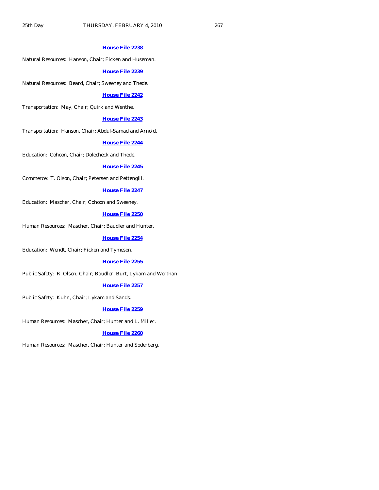#### **[House File 2238](http://coolice.legis.state.ia.us/Cool-ICE/default.asp?Category=billinfo&Service=Billbook&frame=1&GA=83&hbill=HF2238)**

Natural Resources: Hanson, Chair; Ficken and Huseman.

#### **[House File 2239](http://coolice.legis.state.ia.us/Cool-ICE/default.asp?Category=billinfo&Service=Billbook&frame=1&GA=83&hbill=HF2239)**

Natural Resources: Beard, Chair; Sweeney and Thede.

#### **[House File 2242](http://coolice.legis.state.ia.us/Cool-ICE/default.asp?Category=billinfo&Service=Billbook&frame=1&GA=83&hbill=HF2242)**

Transportation: May, Chair; Quirk and Wenthe.

#### **[House File 2243](http://coolice.legis.state.ia.us/Cool-ICE/default.asp?Category=billinfo&Service=Billbook&frame=1&GA=83&hbill=HF2243)**

Transportation: Hanson, Chair; Abdul-Samad and Arnold.

#### **[House File 2244](http://coolice.legis.state.ia.us/Cool-ICE/default.asp?Category=billinfo&Service=Billbook&frame=1&GA=83&hbill=HF2244)**

Education: Cohoon, Chair; Dolecheck and Thede.

#### **[House File 2245](http://coolice.legis.state.ia.us/Cool-ICE/default.asp?Category=billinfo&Service=Billbook&frame=1&GA=83&hbill=HF2245)**

Commerce: T. Olson, Chair; Petersen and Pettengill.

#### **[House File 2247](http://coolice.legis.state.ia.us/Cool-ICE/default.asp?Category=billinfo&Service=Billbook&frame=1&GA=83&hbill=HF2247)**

Education: Mascher, Chair; Cohoon and Sweeney.

# **[House File 2250](http://coolice.legis.state.ia.us/Cool-ICE/default.asp?Category=billinfo&Service=Billbook&frame=1&GA=83&hbill=HF2250)**

Human Resources: Mascher, Chair; Baudler and Hunter.

#### **[House File 2254](http://coolice.legis.state.ia.us/Cool-ICE/default.asp?Category=billinfo&Service=Billbook&frame=1&GA=83&hbill=HF2254)**

Education: Wendt, Chair; Ficken and Tymeson.

# **[House File 2255](http://coolice.legis.state.ia.us/Cool-ICE/default.asp?Category=billinfo&Service=Billbook&frame=1&GA=83&hbill=HF2255)**

Public Safety: R. Olson, Chair; Baudler, Burt, Lykam and Worthan.

#### **[House File 2257](http://coolice.legis.state.ia.us/Cool-ICE/default.asp?Category=billinfo&Service=Billbook&frame=1&GA=83&hbill=HF2257)**

Public Safety: Kuhn, Chair; Lykam and Sands.

#### **[House File 2259](http://coolice.legis.state.ia.us/Cool-ICE/default.asp?Category=billinfo&Service=Billbook&frame=1&GA=83&hbill=HF2259)**

Human Resources: Mascher, Chair; Hunter and L. Miller.

#### **[House File 2260](http://coolice.legis.state.ia.us/Cool-ICE/default.asp?Category=billinfo&Service=Billbook&frame=1&GA=83&hbill=HF2260)**

Human Resources: Mascher, Chair; Hunter and Soderberg.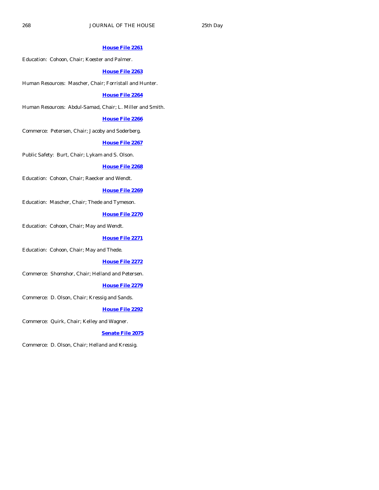#### **[House File 2261](http://coolice.legis.state.ia.us/Cool-ICE/default.asp?Category=billinfo&Service=Billbook&frame=1&GA=83&hbill=HF2261)**

Education: Cohoon, Chair; Koester and Palmer.

## **[House File 2263](http://coolice.legis.state.ia.us/Cool-ICE/default.asp?Category=billinfo&Service=Billbook&frame=1&GA=83&hbill=HF2263)**

Human Resources: Mascher, Chair; Forristall and Hunter.

# **[House File 2264](http://coolice.legis.state.ia.us/Cool-ICE/default.asp?Category=billinfo&Service=Billbook&frame=1&GA=83&hbill=HF2264)**

Human Resources: Abdul-Samad, Chair; L. Miller and Smith.

#### **[House File 2266](http://coolice.legis.state.ia.us/Cool-ICE/default.asp?Category=billinfo&Service=Billbook&frame=1&GA=83&hbill=HF2266)**

Commerce: Petersen, Chair; Jacoby and Soderberg.

#### **[House File 2267](http://coolice.legis.state.ia.us/Cool-ICE/default.asp?Category=billinfo&Service=Billbook&frame=1&GA=83&hbill=HF2267)**

Public Safety: Burt, Chair; Lykam and S. Olson.

#### **[House File 2268](http://coolice.legis.state.ia.us/Cool-ICE/default.asp?Category=billinfo&Service=Billbook&frame=1&GA=83&hbill=HF2268)**

Education: Cohoon, Chair; Raecker and Wendt.

# **[House File 2269](http://coolice.legis.state.ia.us/Cool-ICE/default.asp?Category=billinfo&Service=Billbook&frame=1&GA=83&hbill=HF2269)**

Education: Mascher, Chair; Thede and Tymeson.

# **[House File 2270](http://coolice.legis.state.ia.us/Cool-ICE/default.asp?Category=billinfo&Service=Billbook&frame=1&GA=83&hbill=HF2270)**

Education: Cohoon, Chair; May and Wendt.

#### **[House File 2271](http://coolice.legis.state.ia.us/Cool-ICE/default.asp?Category=billinfo&Service=Billbook&frame=1&GA=83&hbill=HF2271)**

Education: Cohoon, Chair; May and Thede.

# **[House File 2272](http://coolice.legis.state.ia.us/Cool-ICE/default.asp?Category=billinfo&Service=Billbook&frame=1&GA=83&hbill=HF2272)**

Commerce: Shomshor, Chair; Helland and Petersen.

#### **[House File 2279](http://coolice.legis.state.ia.us/Cool-ICE/default.asp?Category=billinfo&Service=Billbook&frame=1&GA=83&hbill=HF2279)**

Commerce: D. Olson, Chair; Kressig and Sands.

# **[House File 2292](http://coolice.legis.state.ia.us/Cool-ICE/default.asp?Category=billinfo&Service=Billbook&frame=1&GA=83&hbill=HF2292)**

Commerce: Quirk, Chair; Kelley and Wagner.

#### **[Senate File 2075](http://coolice.legis.state.ia.us/Cool-ICE/default.asp?Category=billinfo&Service=Billbook&frame=1&GA=83&hbill=SF2075)**

Commerce: D. Olson, Chair; Helland and Kressig.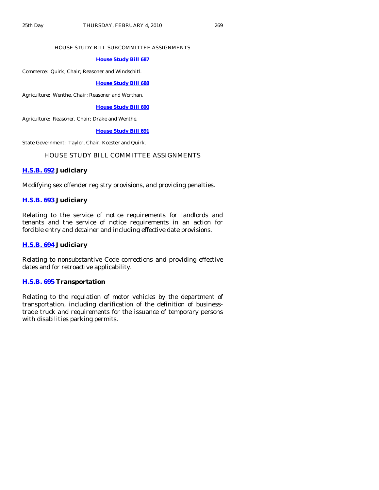#### HOUSE STUDY BILL SUBCOMMITTEE ASSIGNMENTS

#### **[House Study Bill 687](http://coolice.legis.state.ia.us/Cool-ICE/default.asp?Category=billinfo&Service=Billbook&frame=1&GA=83&hbill=HSB687)**

Commerce: Quirk, Chair; Reasoner and Windschitl.

#### **[House Study Bill 688](http://coolice.legis.state.ia.us/Cool-ICE/default.asp?Category=billinfo&Service=Billbook&frame=1&GA=83&hbill=HSB688)**

Agriculture: Wenthe, Chair; Reasoner and Worthan.

#### **[House Study Bill 690](http://coolice.legis.state.ia.us/Cool-ICE/default.asp?Category=billinfo&Service=Billbook&frame=1&GA=83&hbill=HSB690)**

Agriculture: Reasoner, Chair; Drake and Wenthe.

# **[House Study Bill 691](http://coolice.legis.state.ia.us/Cool-ICE/default.asp?Category=billinfo&Service=Billbook&frame=1&GA=83&hbill=HSB691)**

State Government: Taylor, Chair; Koester and Quirk.

# HOUSE STUDY BILL COMMITTEE ASSIGNMENTS

## **[H.S.B. 692](http://coolice.legis.state.ia.us/Cool-ICE/default.asp?Category=billinfo&Service=Billbook&frame=1&GA=83&hbill=HSB692) Judiciary**

Modifying sex offender registry provisions, and providing penalties.

# **[H.S.B. 693](http://coolice.legis.state.ia.us/Cool-ICE/default.asp?Category=billinfo&Service=Billbook&frame=1&GA=83&hbill=HSB693) Judiciary**

Relating to the service of notice requirements for landlords and tenants and the service of notice requirements in an action for forcible entry and detainer and including effective date provisions.

# **[H.S.B. 694](http://coolice.legis.state.ia.us/Cool-ICE/default.asp?Category=billinfo&Service=Billbook&frame=1&GA=83&hbill=HSB694) Judiciary**

Relating to nonsubstantive Code corrections and providing effective dates and for retroactive applicability.

## **[H.S.B. 695](http://coolice.legis.state.ia.us/Cool-ICE/default.asp?Category=billinfo&Service=Billbook&frame=1&GA=83&hbill=HSB695) Transportation**

Relating to the regulation of motor vehicles by the department of transportation, including clarification of the definition of businesstrade truck and requirements for the issuance of temporary persons with disabilities parking permits.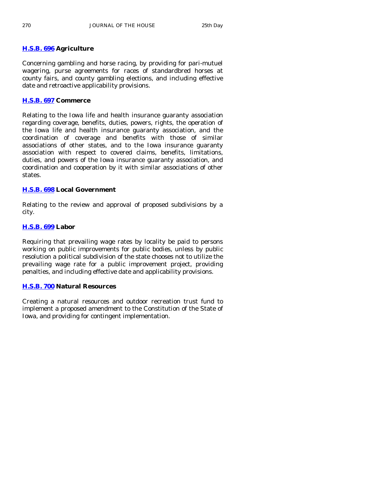# **[H.S.B. 696](http://coolice.legis.state.ia.us/Cool-ICE/default.asp?Category=billinfo&Service=Billbook&frame=1&GA=83&hbill=HSB696) Agriculture**

Concerning gambling and horse racing, by providing for pari-mutuel wagering, purse agreements for races of standardbred horses at county fairs, and county gambling elections, and including effective date and retroactive applicability provisions.

# **[H.S.B. 697](http://coolice.legis.state.ia.us/Cool-ICE/default.asp?Category=billinfo&Service=Billbook&frame=1&GA=83&hbill=HSB697) Commerce**

Relating to the Iowa life and health insurance guaranty association regarding coverage, benefits, duties, powers, rights, the operation of the Iowa life and health insurance guaranty association, and the coordination of coverage and benefits with those of similar associations of other states, and to the Iowa insurance guaranty association with respect to covered claims, benefits, limitations, duties, and powers of the Iowa insurance guaranty association, and coordination and cooperation by it with similar associations of other states.

# **[H.S.B. 698](http://coolice.legis.state.ia.us/Cool-ICE/default.asp?Category=billinfo&Service=Billbook&frame=1&GA=83&hbill=HSB698) Local Government**

Relating to the review and approval of proposed subdivisions by a city.

# **[H.S.B. 699](http://coolice.legis.state.ia.us/Cool-ICE/default.asp?Category=billinfo&Service=Billbook&frame=1&GA=83&hbill=HSB699) Labor**

Requiring that prevailing wage rates by locality be paid to persons working on public improvements for public bodies, unless by public resolution a political subdivision of the state chooses not to utilize the prevailing wage rate for a public improvement project, providing penalties, and including effective date and applicability provisions.

# **[H.S.B. 700](http://coolice.legis.state.ia.us/Cool-ICE/default.asp?Category=billinfo&Service=Billbook&frame=1&GA=83&hbill=HSB700) Natural Resources**

Creating a natural resources and outdoor recreation trust fund to implement a proposed amendment to the Constitution of the State of Iowa, and providing for contingent implementation.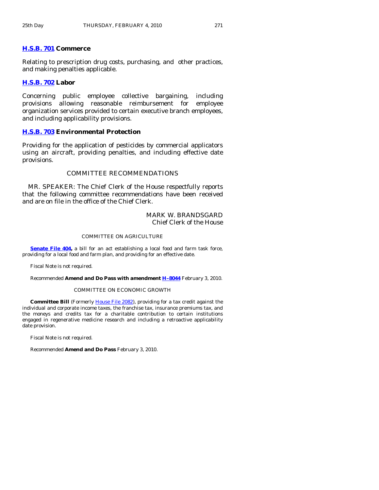# **[H.S.B. 701](http://coolice.legis.state.ia.us/Cool-ICE/default.asp?Category=billinfo&Service=Billbook&frame=1&GA=83&hbill=HSB701) Commerce**

Relating to prescription drug costs, purchasing, and other practices, and making penalties applicable.

#### **[H.S.B. 702](http://coolice.legis.state.ia.us/Cool-ICE/default.asp?Category=billinfo&Service=Billbook&frame=1&GA=83&hbill=HSB702) Labor**

Concerning public employee collective bargaining, including provisions allowing reasonable reimbursement for employee organization services provided to certain executive branch employees, and including applicability provisions.

# **[H.S.B. 703](http://coolice.legis.state.ia.us/Cool-ICE/default.asp?Category=billinfo&Service=Billbook&frame=1&GA=83&hbill=HSB703) Environmental Protection**

Providing for the application of pesticides by commercial applicators using an aircraft, providing penalties, and including effective date provisions.

# COMMITTEE RECOMMENDATIONS

 MR. SPEAKER: The Chief Clerk of the House respectfully reports that the following committee recommendations have been received and are on file in the office of the Chief Clerk.

# MARK W. BRANDSGARD Chief Clerk of the House

#### COMMITTEE ON AGRICULTURE

**[Senate File 404,](http://coolice.legis.state.ia.us/Cool-ICE/default.asp?Category=billinfo&Service=Billbook&frame=1&GA=83&hbill=SF404)** a bill for an act establishing a local food and farm task force, providing for a local food and farm plan, and providing for an effective date.

Fiscal Note is not required.

Recommended **Amend and Do Pass with amendment [H–8044](http://coolice.legis.state.ia.us/Cool-ICE/default.asp?Category=billinfo&Service=Billbook&frame=1&GA=83&hbill=H8044)** February 3, 2010.

#### COMMITTEE ON ECONOMIC GROWTH

 **Committee Bill** (Formerly [House File 2082\)](http://coolice.legis.state.ia.us/Cool-ICE/default.asp?Category=billinfo&Service=Billbook&frame=1&GA=83&hbill=HF2082), providing for a tax credit against the individual and corporate income taxes, the franchise tax, insurance premiums tax, and the moneys and credits tax for a charitable contribution to certain institutions engaged in regenerative medicine research and including a retroactive applicability date provision.

Fiscal Note is not required.

Recommended **Amend and Do Pass** February 3, 2010.